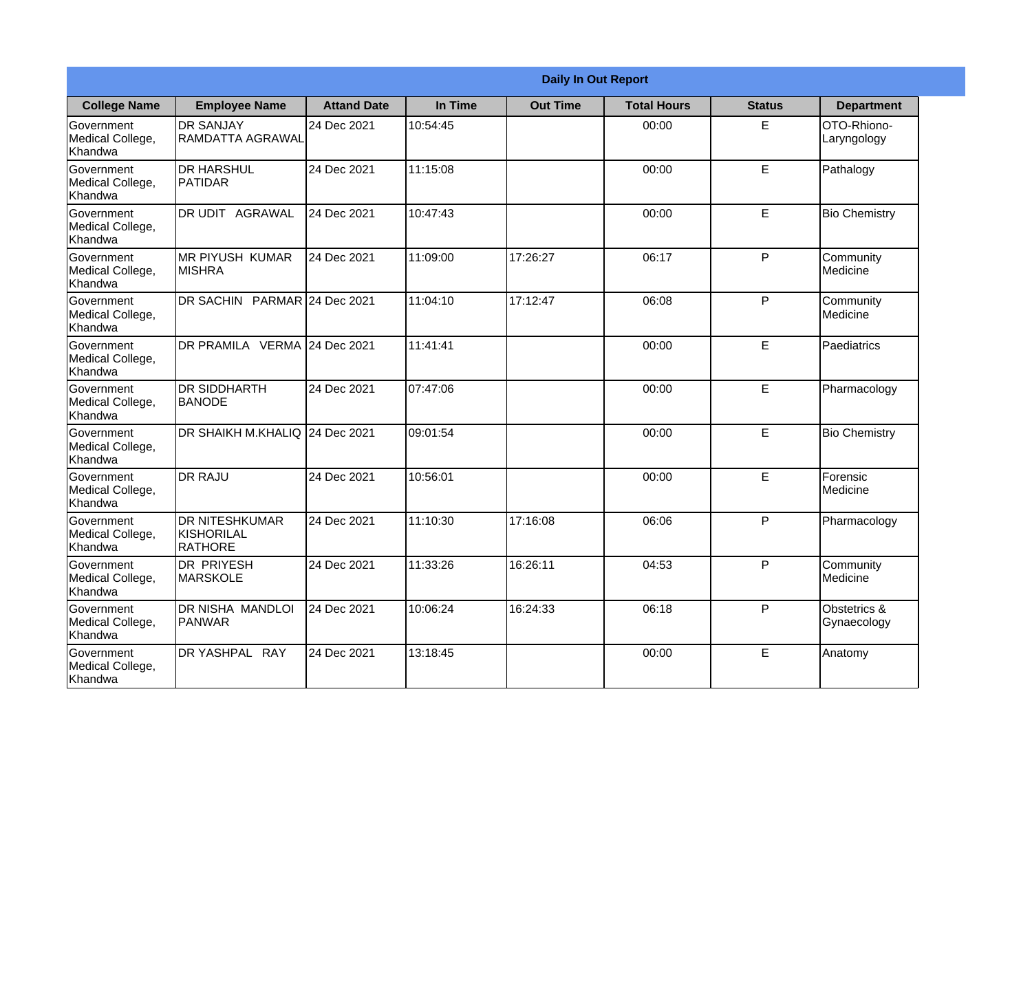|                                                  |                                                | <b>Daily In Out Report</b> |          |                 |                    |               |                             |
|--------------------------------------------------|------------------------------------------------|----------------------------|----------|-----------------|--------------------|---------------|-----------------------------|
| <b>College Name</b>                              | <b>Employee Name</b>                           | <b>Attand Date</b>         | In Time  | <b>Out Time</b> | <b>Total Hours</b> | <b>Status</b> | <b>Department</b>           |
| Government<br>Medical College,<br>Khandwa        | <b>DR SANJAY</b><br><b>RAMDATTA AGRAWAL</b>    | 24 Dec 2021                | 10:54:45 |                 | 00:00              | E             | OTO-Rhiono-<br>Laryngology  |
| Government<br>Medical College,<br>Khandwa        | <b>DR HARSHUL</b><br>PATIDAR                   | 24 Dec 2021                | 11:15:08 |                 | 00:00              | E             | Pathalogy                   |
| <b>Government</b><br>Medical College,<br>Khandwa | DR UDIT<br>AGRAWAL                             | 24 Dec 2021                | 10:47:43 |                 | 00:00              | $\mathsf E$   | <b>Bio Chemistry</b>        |
| Government<br>Medical College,<br>Khandwa        | <b>MR PIYUSH KUMAR</b><br><b>MISHRA</b>        | 24 Dec 2021                | 11:09:00 | 17:26:27        | 06:17              | $\mathsf{P}$  | Community<br>Medicine       |
| Government<br>Medical College,<br>Khandwa        | DR SACHIN PARMAR 24 Dec 2021                   |                            | 11:04:10 | 17:12:47        | 06:08              | P             | Community<br>Medicine       |
| Government<br>Medical College,<br>Khandwa        | DR PRAMILA VERMA                               | 24 Dec 2021                | 11:41:41 |                 | 00:00              | E             | Paediatrics                 |
| Government<br>Medical College,<br>Khandwa        | <b>DR SIDDHARTH</b><br><b>BANODE</b>           | 24 Dec 2021                | 07:47:06 |                 | 00:00              | E             | Pharmacology                |
| Government<br>Medical College,<br>Khandwa        | DR SHAIKH M.KHALIQ 24 Dec 2021                 |                            | 09:01:54 |                 | 00:00              | E             | <b>Bio Chemistry</b>        |
| <b>Government</b><br>Medical College,<br>Khandwa | <b>DR RAJU</b>                                 | 24 Dec 2021                | 10:56:01 |                 | 00:00              | E             | Forensic<br>Medicine        |
| Government<br>Medical College,<br>Khandwa        | <b>DR NITESHKUMAR</b><br>KISHORILAL<br>RATHORE | 24 Dec 2021                | 11:10:30 | 17:16:08        | 06:06              | P             | Pharmacology                |
| Government<br>Medical College,<br>Khandwa        | <b>DR PRIYESH</b><br><b>MARSKOLE</b>           | 24 Dec 2021                | 11:33:26 | 16:26:11        | 04:53              | $\mathsf{P}$  | Community<br>Medicine       |
| Government<br>Medical College,<br>Khandwa        | DR NISHA MANDLOI<br><b>PANWAR</b>              | 24 Dec 2021                | 10:06:24 | 16:24:33        | 06:18              | P             | Obstetrics &<br>Gynaecology |
| Government<br>Medical College,<br>Khandwa        | DR YASHPAL RAY                                 | 24 Dec 2021                | 13:18:45 |                 | 00:00              | E             | Anatomy                     |